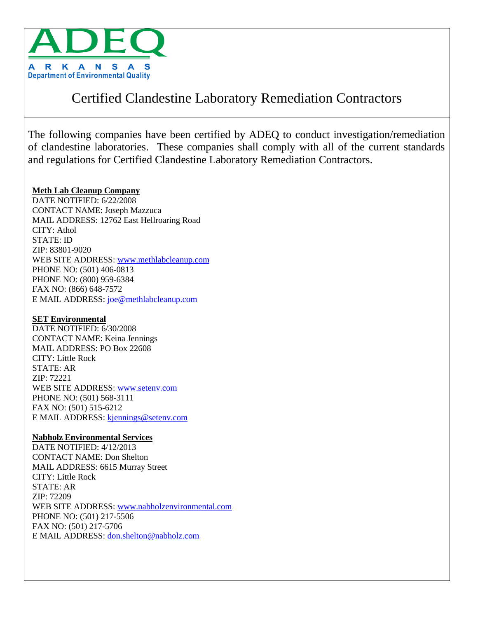

# Certified Clandestine Laboratory Remediation Contractors

The following companies have been certified by ADEQ to conduct investigation/remediation of clandestine laboratories. These companies shall comply with all of the current standards and regulations for Certified Clandestine Laboratory Remediation Contractors.

# **Meth Lab Cleanup Company**

DATE NOTIFIED: 6/22/2008 CONTACT NAME: Joseph Mazzuca MAIL ADDRESS: 12762 East Hellroaring Road CITY: Athol STATE: ID ZIP: 83801-9020 WEB SITE ADDRESS: [www.methlabcleanup.com](Meth%20Program/Active%20Archive/Meth%20Program/Active%20Archive/www.methlabcleanup.com) PHONE NO: (501) 406-0813 PHONE NO: (800) 959-6384 FAX NO: (866) 648-7572 E MAIL ADDRESS: [joe@methlabcleanup.com](Meth%20Program/Active%20Archive/Meth%20Program/Active%20Archive/joe@methlabcleanup.com)

# **SET Environmental**

DATE NOTIFIED: 6/30/2008 CONTACT NAME: Keina Jennings MAIL ADDRESS: PO Box 22608 CITY: Little Rock STATE: AR ZIP: 72221 WEB SITE ADDRESS: [www.setenv.com](Meth%20Program/Active%20Archive/www.setenv.com) PHONE NO: (501) 568-3111 FAX NO: (501) 515-6212 E MAIL ADDRESS: [kjennings@setenv.com](Meth%20Program/Active%20Archive/kjennings@setenv.com)

# **Nabholz Environmental Services**

DATE NOTIFIED: 4/12/2013 CONTACT NAME: Don Shelton MAIL ADDRESS: 6615 Murray Street CITY: Little Rock STATE: AR ZIP: 72209 WEB SITE ADDRESS: [www.nabholzenvironmental.com](Meth%20Program/Active%20Archive/www.nabholzenvironmental.com) PHONE NO: (501) 217-5506 FAX NO: (501) 217-5706 E MAIL ADDRESS: [don.shelton@nabholz.com](Meth%20Program/Active%20Archive/don.shelton@nabholz.com)